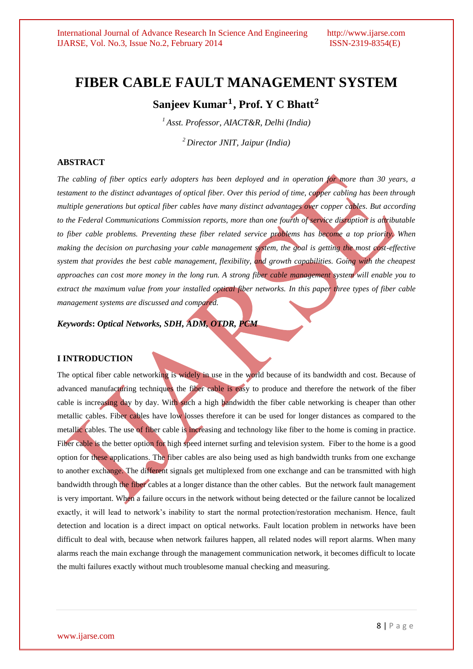# **FIBER CABLE FAULT MANAGEMENT SYSTEM**

## **Sanjeev Kuma , Prof. Y C Bhat**

*<sup>1</sup>Asst. Professor, AIACT&R, Delhi (India)*

*<sup>2</sup>Director JNIT, Jaipur (India)*

## **ABSTRACT**

*The cabling of fiber optics early adopters has been deployed and in operation for more than 30 years, a testament to the distinct advantages of optical fiber. Over this period of time, copper cabling has been through multiple generations but optical fiber cables have many distinct advantages over copper cables. But according to the Federal Communications Commission reports, more than one fourth of service disruption is attributable to fiber cable problems. Preventing these fiber related service problems has become a top priority. When making the decision on purchasing your cable management system, the goal is getting the most cost-effective system that provides the best cable management, flexibility, and growth capabilities. Going with the cheapest approaches can cost more money in the long run. A strong fiber cable management system will enable you to extract the maximum value from your installed optical fiber networks. In this paper three types of fiber cable management systems are discussed and compared.*

*Keywords***:** *Optical Networks, SDH, ADM, OTDR, PCM*

## **I INTRODUCTION**

The optical fiber cable networking is widely in use in the world because of its bandwidth and cost. Because of advanced manufacturing techniques the fiber cable is easy to produce and therefore the network of the fiber cable is increasing day by day. With such a high bandwidth the fiber cable networking is cheaper than other metallic cables. Fiber cables have low losses therefore it can be used for longer distances as compared to the metallic cables. The use of fiber cable is increasing and technology like fiber to the home is coming in practice. Fiber cable is the better option for high speed internet surfing and television system. Fiber to the home is a good option for these applications. The fiber cables are also being used as high bandwidth trunks from one exchange to another exchange. The different signals get multiplexed from one exchange and can be transmitted with high bandwidth through the fiber cables at a longer distance than the other cables. But the network fault management is very important. When a failure occurs in the network without being detected or the failure cannot be localized exactly, it will lead to network"s inability to start the normal protection/restoration mechanism. Hence, fault detection and location is a direct impact on optical networks. Fault location problem in networks have been difficult to deal with, because when network failures happen, all related nodes will report alarms. When many alarms reach the main exchange through the management communication network, it becomes difficult to locate the multi failures exactly without much troublesome manual checking and measuring.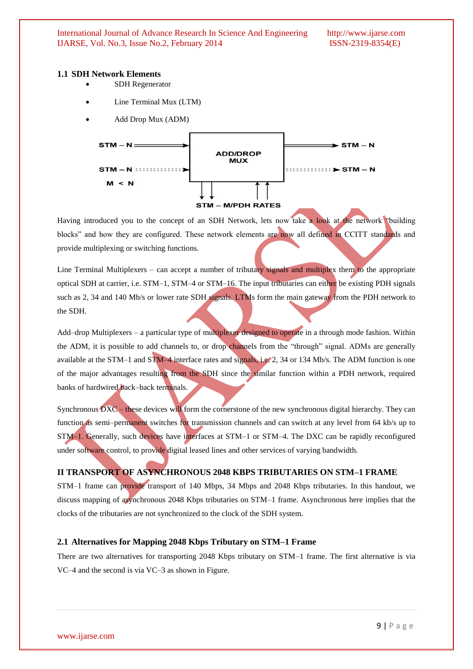## **1.1 SDH Network Elements**

- SDH Regenerator
- Line Terminal Mux (LTM)
- Add Drop Mux (ADM)



Having introduced you to the concept of an SDH Network, lets now take a look at the network "building blocks" and how they are configured. These network elements are now all defined in CCITT standards and provide multiplexing or switching functions.

Line Terminal Multiplexers – can accept a number of tributary signals and multiplex them to the appropriate optical SDH at carrier, i.e. STM–1, STM–4 or STM–16. The input tributaries can either be existing PDH signals such as 2, 34 and 140 Mb/s or lower rate SDH signals. LTMs form the main gateway from the PDH network to the SDH.

Add–drop Multiplexers – a particular type of multiplexer designed to operate in a through mode fashion. Within the ADM, it is possible to add channels to, or drop channels from the "through" signal. ADMs are generally available at the STM–1 and STM–4 interface rates and signals, i.e. 2, 34 or 134 Mb/s. The ADM function is one of the major advantages resulting from the SDH since the similar function within a PDH network, required banks of hardwired back–back terminals.

Synchronous DXC – these devices will form the cornerstone of the new synchronous digital hierarchy. They can function as semi–permanent switches for transmission channels and can switch at any level from 64 kb/s up to STM–1. Generally, such devices have interfaces at STM–1 or STM–4. The DXC can be rapidly reconfigured under software control, to provide digital leased lines and other services of varying bandwidth.

## **II TRANSPORT OF ASYNCHRONOUS 2048 KBPS TRIBUTARIES ON STM–1 FRAME**

STM–1 frame can provide transport of 140 Mbps, 34 Mbps and 2048 Kbps tributaries. In this handout, we discuss mapping of asynchronous 2048 Kbps tributaries on STM–1 frame. Asynchronous here implies that the clocks of the tributaries are not synchronized to the clock of the SDH system.

## **2.1 Alternatives for Mapping 2048 Kbps Tributary on STM–1 Frame**

There are two alternatives for transporting 2048 Kbps tributary on STM–1 frame. The first alternative is via VC–4 and the second is via VC–3 as shown in Figure.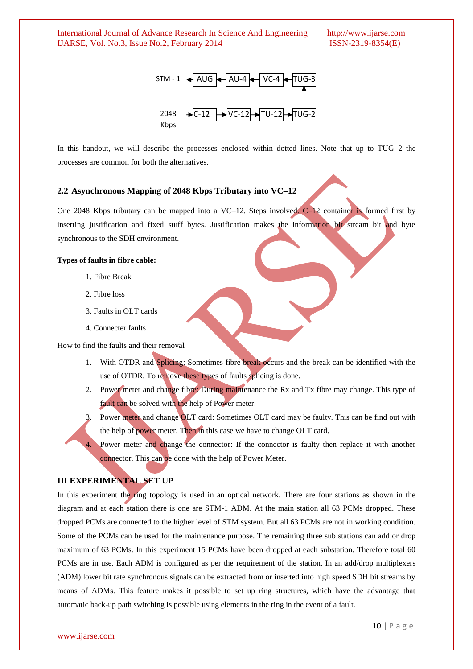

In this handout, we will describe the processes enclosed within dotted lines. Note that up to TUG–2 the processes are common for both the alternatives.

#### **2.2 Asynchronous Mapping of 2048 Kbps Tributary into VC–12**

One 2048 Kbps tributary can be mapped into a VC–12. Steps involved. C–12 container is formed first by inserting justification and fixed stuff bytes. Justification makes the information bit stream bit and byte synchronous to the SDH environment.

#### **Types of faults in fibre cable:**

- 1. Fibre Break
- 2. Fibre loss
- 3. Faults in OLT cards
- 4. Connecter faults

How to find the faults and their removal

- 1. With OTDR and Splicing: Sometimes fibre break occurs and the break can be identified with the use of OTDR. To remove these types of faults splicing is done.
- 2. Power meter and change fibre: During maintenance the Rx and Tx fibre may change. This type of fault can be solved with the help of Power meter.
	- Power meter and change OLT card: Sometimes OLT card may be faulty. This can be find out with the help of power meter. Then in this case we have to change OLT card.
		- Power meter and change the connector: If the connector is faulty then replace it with another connector. This can be done with the help of Power Meter.

## **III EXPERIMENTAL SET UP**

In this experiment the ring topology is used in an optical network. There are four stations as shown in the diagram and at each station there is one are STM-1 ADM. At the main station all 63 PCMs dropped. These dropped PCMs are connected to the higher level of STM system. But all 63 PCMs are not in working condition. Some of the PCMs can be used for the maintenance purpose. The remaining three sub stations can add or drop maximum of 63 PCMs. In this experiment 15 PCMs have been dropped at each substation. Therefore total 60 PCMs are in use. Each ADM is configured as per the requirement of the station. In an add/drop multiplexers (ADM) lower bit rate synchronous signals can be extracted from or inserted into high speed SDH bit streams by means of ADMs. This feature makes it possible to set up ring structures, which have the advantage that automatic back-up path switching is possible using elements in the ring in the event of a fault.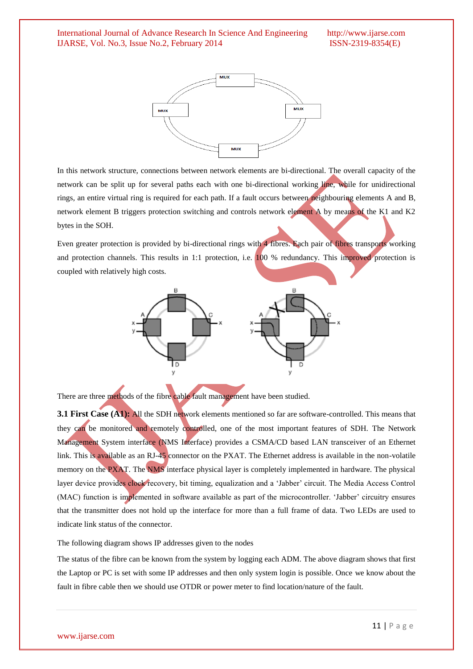

In this network structure, connections between network elements are bi-directional. The overall capacity of the network can be split up for several paths each with one bi-directional working line, while for unidirectional rings, an entire virtual ring is required for each path. If a fault occurs between neighbouring elements A and B, network element B triggers protection switching and controls network element A by means of the K1 and K2 bytes in the SOH.

Even greater protection is provided by bi-directional rings with 4 fibres. Each pair of fibres transports working and protection channels. This results in 1:1 protection, i.e. 100 % redundancy. This improved protection is coupled with relatively high costs.



There are three methods of the fibre cable fault management have been studied.

**3.1 First Case (A1):** All the SDH network elements mentioned so far are software-controlled. This means that they can be monitored and remotely controlled, one of the most important features of SDH. The Network Management System interface (NMS Interface) provides a CSMA/CD based LAN transceiver of an Ethernet link. This is available as an RJ-45 connector on the PXAT. The Ethernet address is available in the non-volatile memory on the PXAT. The NMS interface physical layer is completely implemented in hardware. The physical layer device provides clock recovery, bit timing, equalization and a "Jabber" circuit. The Media Access Control (MAC) function is implemented in software available as part of the microcontroller. "Jabber" circuitry ensures that the transmitter does not hold up the interface for more than a full frame of data. Two LEDs are used to indicate link status of the connector.

The following diagram shows IP addresses given to the nodes

The status of the fibre can be known from the system by logging each ADM. The above diagram shows that first the Laptop or PC is set with some IP addresses and then only system login is possible. Once we know about the fault in fibre cable then we should use OTDR or power meter to find location/nature of the fault.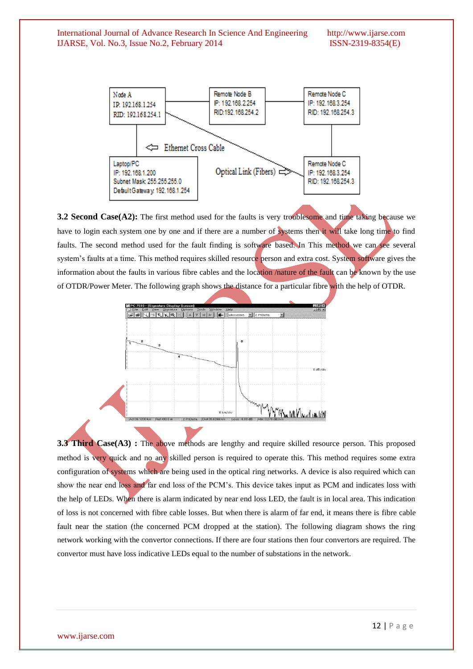

**3.2 Second Case(A2):** The first method used for the faults is very troublesome and time taking because we have to login each system one by one and if there are a number of systems then it will take long time to find faults. The second method used for the fault finding is software based. In This method we can see several system's faults at a time. This method requires skilled resource person and extra cost. System software gives the information about the faults in various fibre cables and the location /nature of the fault can be known by the use of OTDR/Power Meter. The following graph shows the distance for a particular fibre with the help of OTDR.



**3.3 Third Case(A3) :** The above methods are lengthy and require skilled resource person. This proposed method is very quick and no any skilled person is required to operate this. This method requires some extra configuration of systems which are being used in the optical ring networks. A device is also required which can show the near end loss and far end loss of the PCM"s. This device takes input as PCM and indicates loss with the help of LEDs. When there is alarm indicated by near end loss LED, the fault is in local area. This indication of loss is not concerned with fibre cable losses. But when there is alarm of far end, it means there is fibre cable fault near the station (the concerned PCM dropped at the station). The following diagram shows the ring network working with the convertor connections. If there are four stations then four convertors are required. The convertor must have loss indicative LEDs equal to the number of substations in the network.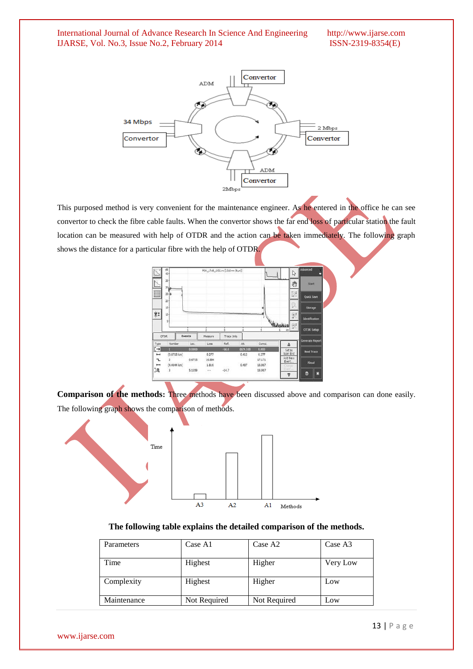

This purposed method is very convenient for the maintenance engineer. As he entered in the office he can see convertor to check the fibre cable faults. When the convertor shows the far end loss of particular station the fault location can be measured with help of OTDR and the action can be taken immediately. The following graph shows the distance for a particular fibre with the help of OTDR.



**Comparison of the methods:** Three methods have been discussed above and comparison can done easily. The following graph shows the comparison of methods.



#### **The following table explains the detailed comparison of the methods.**

| Parameters  | Case A1      | Case A <sub>2</sub> | Case A3  |
|-------------|--------------|---------------------|----------|
| Time        | Highest      | Higher              | Very Low |
| Complexity  | Highest      | Higher              | Low      |
| Maintenance | Not Required | Not Required        | Low      |